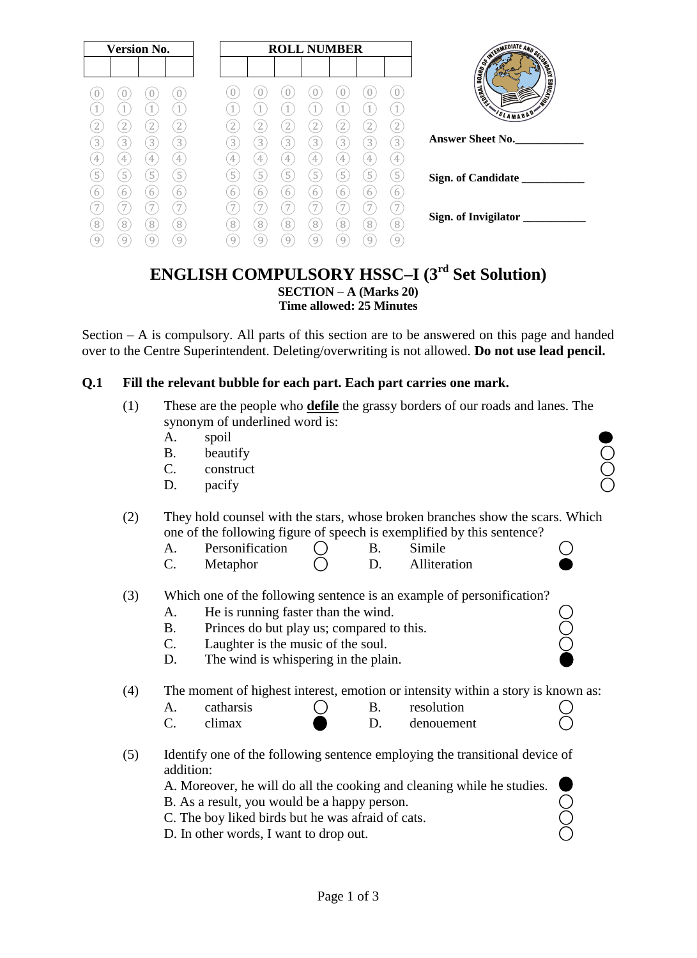| <b>Version No.</b>                           | <b>ROLL NUMBER</b>                                         | WIERMEDIATE AND SECTION                         |
|----------------------------------------------|------------------------------------------------------------|-------------------------------------------------|
|                                              |                                                            | OND PL<br>$\overline{B0}$ ARD<br><b>CONTACT</b> |
| U<br>U<br>U                                  | 4                                                          | <b>MONTAINS</b><br><b>Huany</b>                 |
| 1<br>$\mathbf{2}$<br>2<br>2                  | $\mathbf{2}$<br>2<br>2                                     | SLAMABAD                                        |
| $\boxed{3}$<br>3<br>3<br>3                   | <b>Answer Sheet No.</b><br>3<br>3<br>3<br>3<br>3<br>3<br>3 |                                                 |
| 4<br>4<br>4<br>$\overline{5}$<br>5<br>5<br>5 | 4<br>4<br>4<br>4<br>4<br>5<br>5<br>5<br>5<br>5<br>5<br>5   |                                                 |
| 6<br>6<br>6                                  | 6<br>6<br>6<br>6<br>h                                      | Sign. of Candidate                              |
| 7<br>7                                       | Sign. of Invigilator                                       |                                                 |
| 8<br>8<br>8<br>8<br>9<br>9<br>9<br>9         | 8<br>8<br>8<br>8<br>8<br>8<br>8<br>9<br>9<br>9<br>9<br>g   |                                                 |

## **ENGLISH COMPULSORY HSSC–I (3rd Set Solution) SECTION – A (Marks 20) Time allowed: 25 Minutes**

Section – A is compulsory. All parts of this section are to be answered on this page and handed over to the Centre Superintendent. Deleting/overwriting is not allowed. **Do not use lead pencil.**

### **Q.1 Fill the relevant bubble for each part. Each part carries one mark.**

- (1) These are the people who **defile** the grassy borders of our roads and lanes. The synonym of underlined word is:
	- A. spoil
	- B. beautify  $\bigcirc$
	- $\overline{C}$ . construct  $\overline{O}$
	- D. pacify  $\bigcirc$

### (2) They hold counsel with the stars, whose broken branches show the scars. Which one of the following figure of speech is exemplified by this sentence?

- A. Personification  $\bigcap$  B. Simile
- $C.$  Metaphor  $C.$  D. Alliteration
- (3) Which one of the following sentence is an example of personification?
	-
	- A. He is running faster than the wind. <br>
	B. Princes do but play us; compared to this. <br>
	C. Laughter is the music of the soul.  $\bigcirc$ B. Princes do but play us; compared to this.
	- C. Laughter is the music of the soul.
	- D. The wind is whispering in the plain.

(4) The moment of highest interest, emotion or intensity within a story is known as:

| Δ<br>л. | catharsis |  | resolution |  |
|---------|-----------|--|------------|--|
|         | climax    |  | denouement |  |

(5) Identify one of the following sentence employing the transitional device of addition:

A. Moreover, he will do all the cooking and cleaning while he studies.

- B. As a result, you would be a happy person.
- C. The boy liked birds but he was afraid of cats.
- D. In other words, I want to drop out.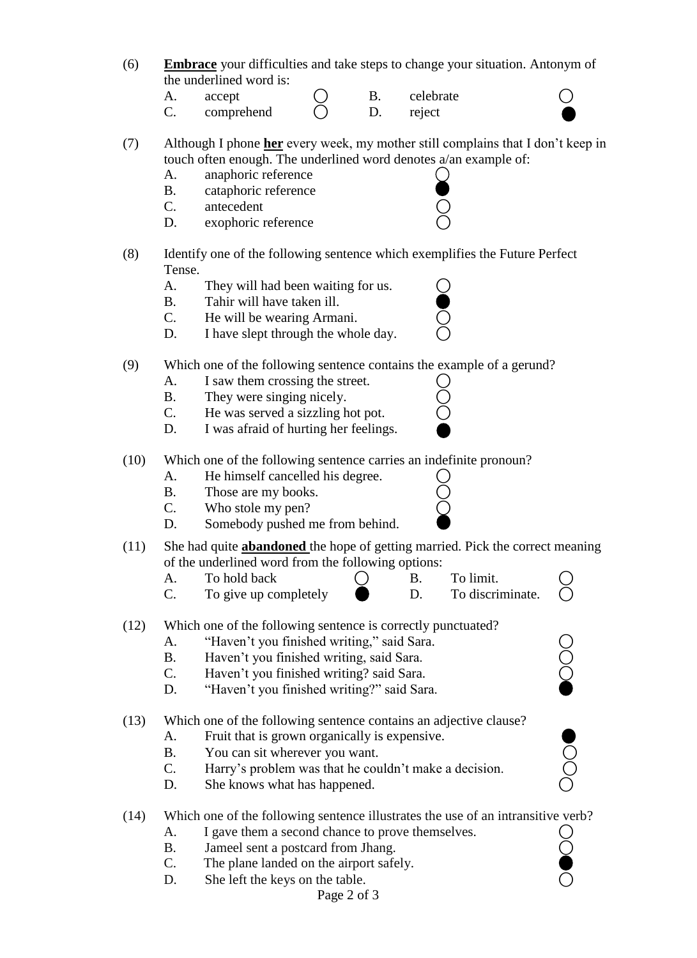- (6) **Embrace** your difficulties and take steps to change your situation. Antonym of the underlined word is:
	- A. accept ( B. celebrate )
	- C. comprehend  $\bigcap$  D. reject

(7) Although I phone **her** every week, my mother still complains that I don"t keep in touch often enough. The underlined word denotes a/an example of:

- A. anaphoric reference
- B. cataphoric reference C. antecedent
- D. exophoric reference
- (8) Identify one of the following sentence which exemplifies the Future Perfect Tense.
	- A. They will had been waiting for us.
	- B. Tahir will have taken ill.
	- C. He will be wearing Armani.
	- D. I have slept through the whole day.
- (9) Which one of the following sentence contains the example of a gerund?
	- A. I saw them crossing the street.
	- B. They were singing nicely.
	- C. He was served a sizzling hot pot.
	- D. I was afraid of hurting her feelings.
- (10) Which one of the following sentence carries an indefinite pronoun?
	- A. He himself cancelled his degree.
	- B. Those are my books.
	- C. Who stole my pen?
	- D. Somebody pushed me from behind.
- (11) She had quite **abandoned** the hope of getting married. Pick the correct meaning of the underlined word from the following options:
	- A. To hold back  $\bigcirc$  B. To limit.<br>C. To give up completely  $\bigcirc$  B. To discri-
	- To give up completely  $\qquad \qquad$  D. To discriminate.
- (12) Which one of the following sentence is correctly punctuated?
	- A. "Haven't you finished writing," said Sara.
	- B. Haven't you finished writing, said Sara.
	- C. Haven't you finished writing? said Sara.
	- D. "Haven't you finished writing?" said Sara.
- (13) Which one of the following sentence contains an adjective clause?
	- A. Fruit that is grown organically is expensive.
	-
	- A. Fruit that is grown organically is expensive.<br>
	B. You can sit wherever you want.<br>
	C. Harry's problem was that he couldn't make a decision.<br>
	D. She knows what has happened. C. Harry's problem was that he couldn't make a decision.
	- D. She knows what has happened.
- (14) Which one of the following sentence illustrates the use of an intransitive verb?
	- A. I gave them a second chance to prove themselves. <br>
	B. Jameel sent a postcard from Jhang. <br>
	C. The plane landed on the airport safely.
	- B. Jameel sent a postcard from Jhang.
	- C. The plane landed on the airport safely.
	- D. She left the keys on the table.



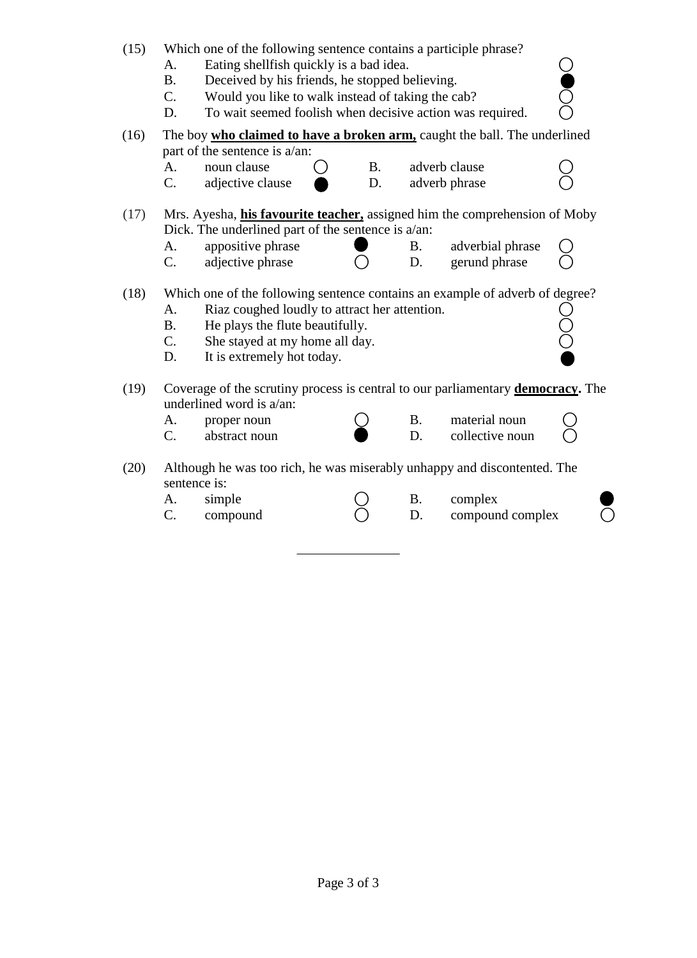| (15) | Which one of the following sentence contains a participle phrase?<br>Eating shellfish quickly is a bad idea.<br>A.<br>Deceived by his friends, he stopped believing.<br><b>B.</b><br>$C_{\cdot}$<br>Would you like to walk instead of taking the cab?<br>To wait seemed foolish when decisive action was required.<br>D. |                                                                                         |           |           |                  |  |
|------|--------------------------------------------------------------------------------------------------------------------------------------------------------------------------------------------------------------------------------------------------------------------------------------------------------------------------|-----------------------------------------------------------------------------------------|-----------|-----------|------------------|--|
| (16) |                                                                                                                                                                                                                                                                                                                          | The boy who claimed to have a broken arm, caught the ball. The underlined               |           |           |                  |  |
|      |                                                                                                                                                                                                                                                                                                                          | part of the sentence is a/an:                                                           |           |           |                  |  |
|      | A.                                                                                                                                                                                                                                                                                                                       | noun clause                                                                             | <b>B.</b> |           | adverb clause    |  |
|      | $C_{\cdot}$                                                                                                                                                                                                                                                                                                              | adjective clause                                                                        | D.        |           | adverb phrase    |  |
| (17) |                                                                                                                                                                                                                                                                                                                          | Mrs. Ayesha, <i>his favourite teacher</i> , assigned him the comprehension of Moby      |           |           |                  |  |
|      |                                                                                                                                                                                                                                                                                                                          | Dick. The underlined part of the sentence is $a/an$ :                                   |           |           |                  |  |
|      | A.                                                                                                                                                                                                                                                                                                                       | appositive phrase                                                                       |           | <b>B.</b> | adverbial phrase |  |
|      | $C_{\cdot}$                                                                                                                                                                                                                                                                                                              | adjective phrase                                                                        |           | D.        | gerund phrase    |  |
| (18) |                                                                                                                                                                                                                                                                                                                          | Which one of the following sentence contains an example of adverb of degree?            |           |           |                  |  |
|      | A.                                                                                                                                                                                                                                                                                                                       | Riaz coughed loudly to attract her attention.                                           |           |           |                  |  |
|      | <b>B.</b>                                                                                                                                                                                                                                                                                                                | He plays the flute beautifully.                                                         |           |           |                  |  |
|      | $C_{\cdot}$                                                                                                                                                                                                                                                                                                              | She stayed at my home all day.                                                          |           |           |                  |  |
|      | D.                                                                                                                                                                                                                                                                                                                       | It is extremely hot today.                                                              |           |           |                  |  |
| (19) |                                                                                                                                                                                                                                                                                                                          | Coverage of the scrutiny process is central to our parliamentary <b>democracy</b> . The |           |           |                  |  |
|      |                                                                                                                                                                                                                                                                                                                          | underlined word is a/an:                                                                |           |           |                  |  |
|      | А.                                                                                                                                                                                                                                                                                                                       | proper noun                                                                             |           | <b>B.</b> | material noun    |  |
|      | $C_{\cdot}$                                                                                                                                                                                                                                                                                                              | abstract noun                                                                           |           | D.        | collective noun  |  |
| (20) | sentence is:                                                                                                                                                                                                                                                                                                             | Although he was too rich, he was miserably unhappy and discontented. The                |           |           |                  |  |
|      | А.                                                                                                                                                                                                                                                                                                                       | simple                                                                                  |           | <b>B.</b> | complex          |  |
|      | C.                                                                                                                                                                                                                                                                                                                       | compound                                                                                |           | D.        | compound complex |  |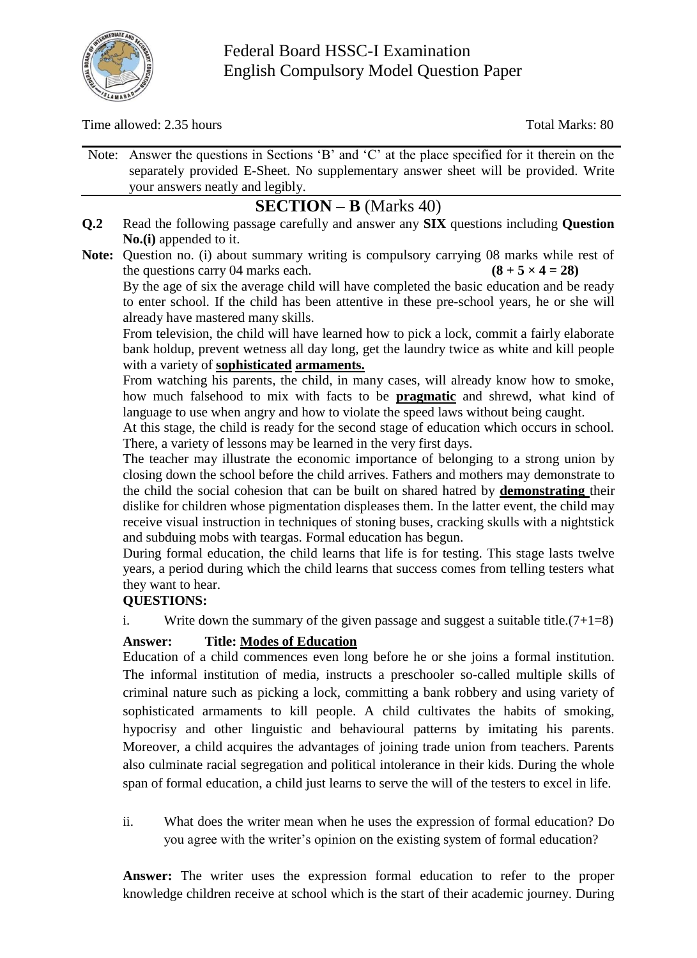

Time allowed: 2.35 hours Total Marks: 80

Note: Answer the questions in Sections "B" and "C" at the place specified for it therein on the separately provided E-Sheet. No supplementary answer sheet will be provided. Write your answers neatly and legibly.

# **SECTION – B** (Marks 40)

- **Q.2** Read the following passage carefully and answer any **SIX** questions including **Question No.(i)** appended to it.
- **Note:** Question no. (i) about summary writing is compulsory carrying 08 marks while rest of the questions carry 04 marks each. **(8 + 5**  $\times$  **4 = 28)**

By the age of six the average child will have completed the basic education and be ready to enter school. If the child has been attentive in these pre-school years, he or she will already have mastered many skills.

From television, the child will have learned how to pick a lock, commit a fairly elaborate bank holdup, prevent wetness all day long, get the laundry twice as white and kill people with a variety of **sophisticated armaments.**

From watching his parents, the child, in many cases, will already know how to smoke, how much falsehood to mix with facts to be **pragmatic** and shrewd, what kind of language to use when angry and how to violate the speed laws without being caught.

At this stage, the child is ready for the second stage of education which occurs in school. There, a variety of lessons may be learned in the very first days.

The teacher may illustrate the economic importance of belonging to a strong union by closing down the school before the child arrives. Fathers and mothers may demonstrate to the child the social cohesion that can be built on shared hatred by **demonstrating** their dislike for children whose pigmentation displeases them. In the latter event, the child may receive visual instruction in techniques of stoning buses, cracking skulls with a nightstick and subduing mobs with teargas. Formal education has begun.

During formal education, the child learns that life is for testing. This stage lasts twelve years, a period during which the child learns that success comes from telling testers what they want to hear.

# **QUESTIONS:**

i. Write down the summary of the given passage and suggest a suitable title. $(7+1=8)$ 

# **Answer: Title: Modes of Education**

Education of a child commences even long before he or she joins a formal institution. The informal institution of media, instructs a preschooler so-called multiple skills of criminal nature such as picking a lock, committing a bank robbery and using variety of sophisticated armaments to kill people. A child cultivates the habits of smoking, hypocrisy and other linguistic and behavioural patterns by imitating his parents. Moreover, a child acquires the advantages of joining trade union from teachers. Parents also culminate racial segregation and political intolerance in their kids. During the whole span of formal education, a child just learns to serve the will of the testers to excel in life.

ii. What does the writer mean when he uses the expression of formal education? Do you agree with the writer"s opinion on the existing system of formal education?

**Answer:** The writer uses the expression formal education to refer to the proper knowledge children receive at school which is the start of their academic journey. During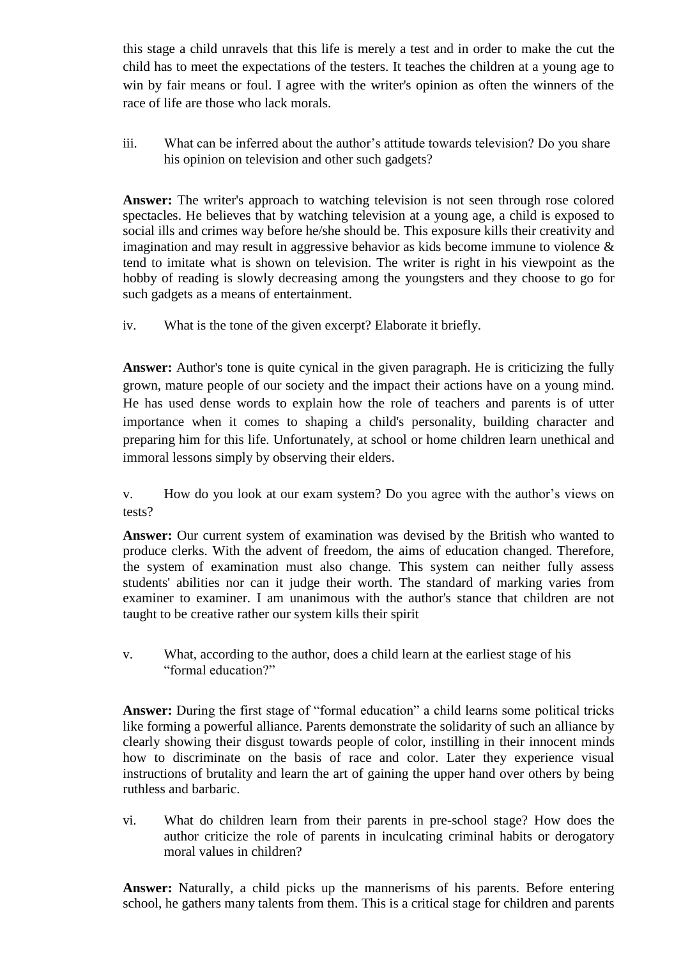this stage a child unravels that this life is merely a test and in order to make the cut the child has to meet the expectations of the testers. It teaches the children at a young age to win by fair means or foul. I agree with the writer's opinion as often the winners of the race of life are those who lack morals.

iii. What can be inferred about the author's attitude towards television? Do you share his opinion on television and other such gadgets?

**Answer:** The writer's approach to watching television is not seen through rose colored spectacles. He believes that by watching television at a young age, a child is exposed to social ills and crimes way before he/she should be. This exposure kills their creativity and imagination and may result in aggressive behavior as kids become immune to violence & tend to imitate what is shown on television. The writer is right in his viewpoint as the hobby of reading is slowly decreasing among the youngsters and they choose to go for such gadgets as a means of entertainment.

iv. What is the tone of the given excerpt? Elaborate it briefly.

**Answer:** Author's tone is quite cynical in the given paragraph. He is criticizing the fully grown, mature people of our society and the impact their actions have on a young mind. He has used dense words to explain how the role of teachers and parents is of utter importance when it comes to shaping a child's personality, building character and preparing him for this life. Unfortunately, at school or home children learn unethical and immoral lessons simply by observing their elders.

v. How do you look at our exam system? Do you agree with the author"s views on tests?

**Answer:** Our current system of examination was devised by the British who wanted to produce clerks. With the advent of freedom, the aims of education changed. Therefore, the system of examination must also change. This system can neither fully assess students' abilities nor can it judge their worth. The standard of marking varies from examiner to examiner. I am unanimous with the author's stance that children are not taught to be creative rather our system kills their spirit

v. What, according to the author, does a child learn at the earliest stage of his "formal education?"

**Answer:** During the first stage of "formal education" a child learns some political tricks like forming a powerful alliance. Parents demonstrate the solidarity of such an alliance by clearly showing their disgust towards people of color, instilling in their innocent minds how to discriminate on the basis of race and color. Later they experience visual instructions of brutality and learn the art of gaining the upper hand over others by being ruthless and barbaric.

vi. What do children learn from their parents in pre-school stage? How does the author criticize the role of parents in inculcating criminal habits or derogatory moral values in children?

**Answer:** Naturally, a child picks up the mannerisms of his parents. Before entering school, he gathers many talents from them. This is a critical stage for children and parents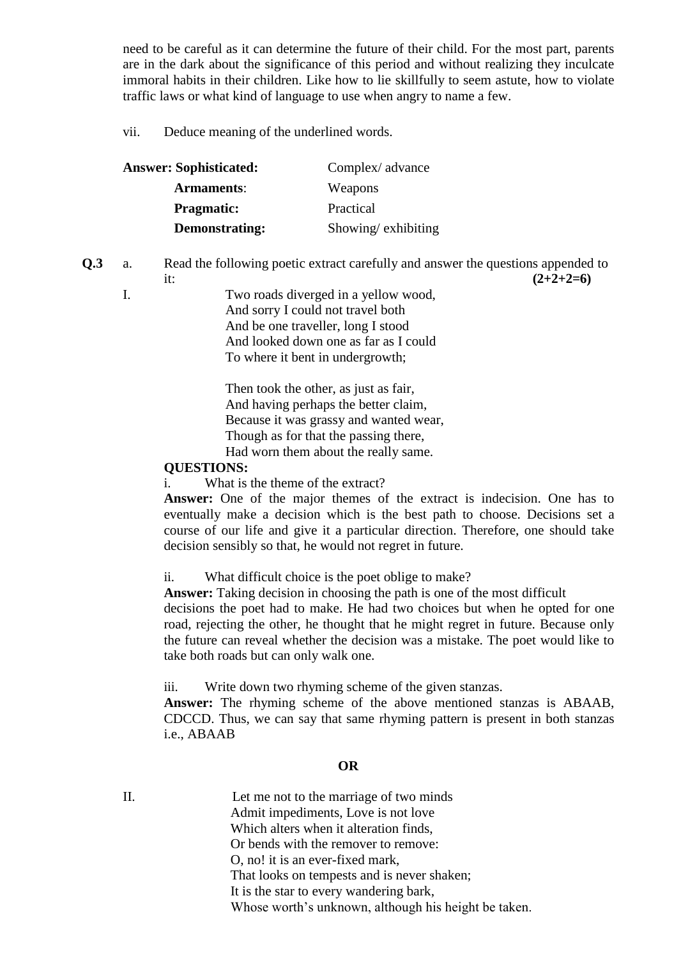need to be careful as it can determine the future of their child. For the most part, parents are in the dark about the significance of this period and without realizing they inculcate immoral habits in their children. Like how to lie skillfully to seem astute, how to violate traffic laws or what kind of language to use when angry to name a few.

vii. Deduce meaning of the underlined words.

| <b>Answer: Sophisticated:</b> | Complex/advance    |
|-------------------------------|--------------------|
| <b>Armaments:</b>             | Weapons            |
| <b>Pragmatic:</b>             | Practical          |
| Demonstrating:                | Showing/exhibiting |

**Q.3** a. Read the following poetic extract carefully and answer the questions appended to

it:  $(2+2+2=6)$ 

I. Two roads diverged in a yellow wood, And sorry I could not travel both And be one traveller, long I stood And looked down one as far as I could To where it bent in undergrowth;

> Then took the other, as just as fair, And having perhaps the better claim, Because it was grassy and wanted wear, Though as for that the passing there, Had worn them about the really same.

### **QUESTIONS:**

i. What is the theme of the extract?

**Answer:** One of the major themes of the extract is indecision. One has to eventually make a decision which is the best path to choose. Decisions set a course of our life and give it a particular direction. Therefore, one should take decision sensibly so that, he would not regret in future.

ii. What difficult choice is the poet oblige to make?

**Answer:** Taking decision in choosing the path is one of the most difficult decisions the poet had to make. He had two choices but when he opted for one road, rejecting the other, he thought that he might regret in future. Because only the future can reveal whether the decision was a mistake. The poet would like to take both roads but can only walk one.

iii. Write down two rhyming scheme of the given stanzas.

**Answer:** The rhyming scheme of the above mentioned stanzas is ABAAB, CDCCD. Thus, we can say that same rhyming pattern is present in both stanzas i.e., ABAAB

### **OR**

II. Let me not to the marriage of two minds Admit impediments, Love is not love Which alters when it alteration finds, Or bends with the remover to remove: O, no! it is an ever-fixed mark, That looks on tempests and is never shaken; It is the star to every wandering bark, Whose worth's unknown, although his height be taken.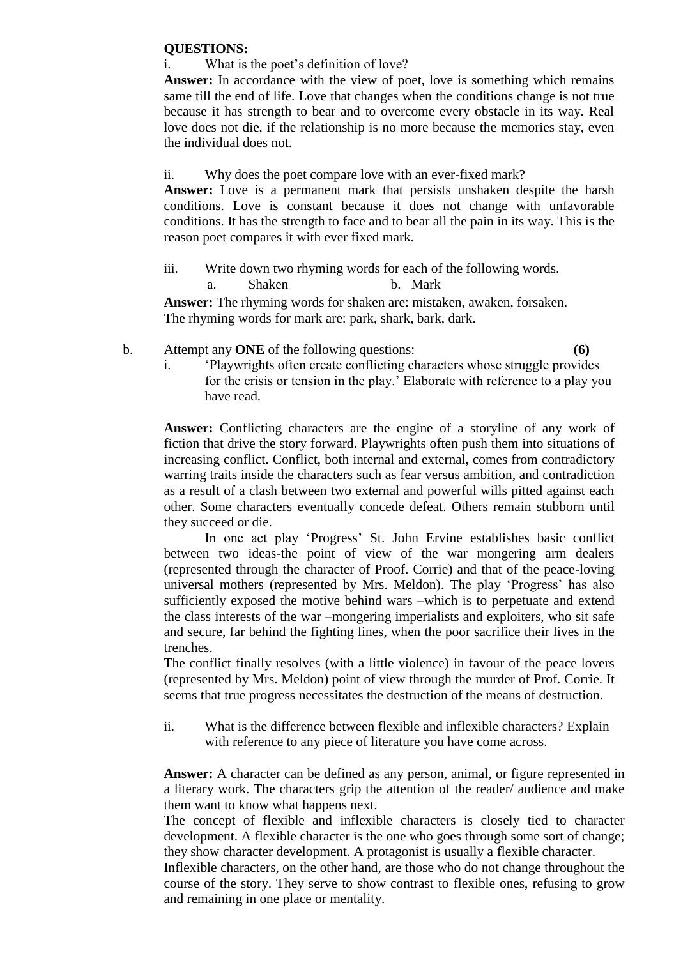#### **QUESTIONS:**

i. What is the poet's definition of love?

**Answer:** In accordance with the view of poet, love is something which remains same till the end of life. Love that changes when the conditions change is not true because it has strength to bear and to overcome every obstacle in its way. Real love does not die, if the relationship is no more because the memories stay, even the individual does not.

ii. Why does the poet compare love with an ever-fixed mark?

**Answer:** Love is a permanent mark that persists unshaken despite the harsh conditions. Love is constant because it does not change with unfavorable conditions. It has the strength to face and to bear all the pain in its way. This is the reason poet compares it with ever fixed mark.

iii. Write down two rhyming words for each of the following words.

a. Shaken b. Mark

**Answer:** The rhyming words for shaken are: mistaken, awaken, forsaken. The rhyming words for mark are: park, shark, bark, dark.

- b. Attempt any **ONE** of the following questions: **(6)**
	- i. "Playwrights often create conflicting characters whose struggle provides for the crisis or tension in the play." Elaborate with reference to a play you have read.

**Answer:** Conflicting characters are the engine of a storyline of any work of fiction that drive the story forward. Playwrights often push them into situations of increasing conflict. Conflict, both internal and external, comes from contradictory warring traits inside the characters such as fear versus ambition, and contradiction as a result of a clash between two external and powerful wills pitted against each other. Some characters eventually concede defeat. Others remain stubborn until they succeed or die.

In one act play "Progress" St. John Ervine establishes basic conflict between two ideas-the point of view of the war mongering arm dealers (represented through the character of Proof. Corrie) and that of the peace-loving universal mothers (represented by Mrs. Meldon). The play "Progress" has also sufficiently exposed the motive behind wars –which is to perpetuate and extend the class interests of the war –mongering imperialists and exploiters, who sit safe and secure, far behind the fighting lines, when the poor sacrifice their lives in the trenches.

The conflict finally resolves (with a little violence) in favour of the peace lovers (represented by Mrs. Meldon) point of view through the murder of Prof. Corrie. It seems that true progress necessitates the destruction of the means of destruction.

ii. What is the difference between flexible and inflexible characters? Explain with reference to any piece of literature you have come across.

**Answer:** A character can be defined as any person, animal, or figure represented in a literary work. The characters grip the attention of the reader/ audience and make them want to know what happens next.

The concept of flexible and inflexible characters is closely tied to character development. A flexible character is the one who goes through some sort of change; they show character development. A protagonist is usually a flexible character.

Inflexible characters, on the other hand, are those who do not change throughout the course of the story. They serve to show contrast to flexible ones, refusing to grow and remaining in one place or mentality.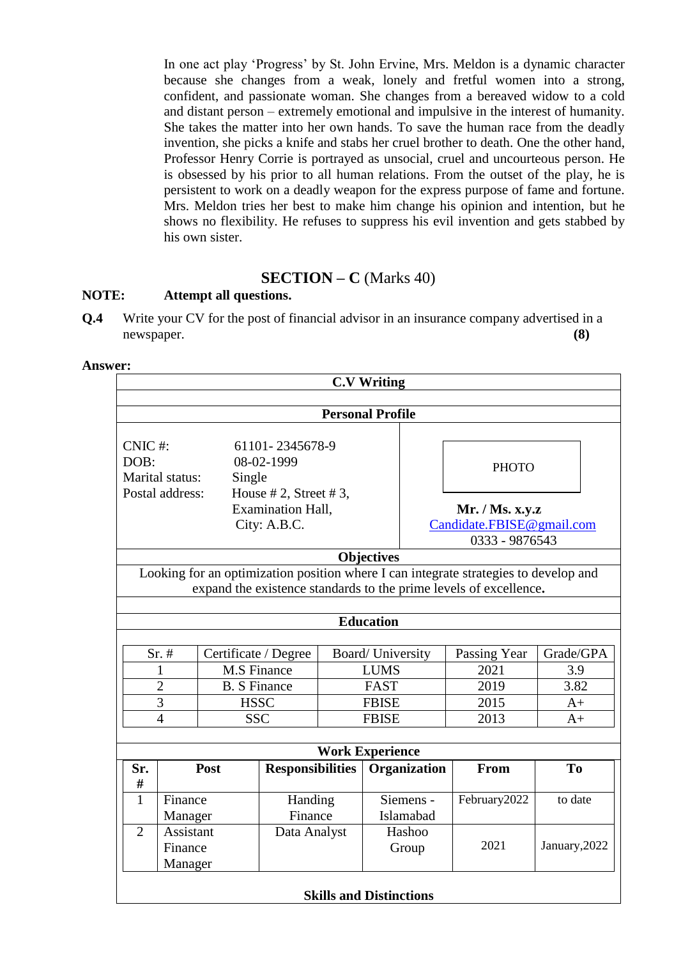In one act play "Progress" by St. John Ervine, Mrs. Meldon is a dynamic character because she changes from a weak, lonely and fretful women into a strong, confident, and passionate woman. She changes from a bereaved widow to a cold and distant person – extremely emotional and impulsive in the interest of humanity. She takes the matter into her own hands. To save the human race from the deadly invention, she picks a knife and stabs her cruel brother to death. One the other hand, Professor Henry Corrie is portrayed as unsocial, cruel and uncourteous person. He is obsessed by his prior to all human relations. From the outset of the play, he is persistent to work on a deadly weapon for the express purpose of fame and fortune. Mrs. Meldon tries her best to make him change his opinion and intention, but he shows no flexibility. He refuses to suppress his evil invention and gets stabbed by his own sister.

## **SECTION – C** (Marks 40)

### **NOTE: Attempt all questions.**

**Q.4** Write your CV for the post of financial advisor in an insurance company advertised in a newspaper. **(8)**

|                                                                                      |                                                                      |                     |                         |                                                                 | <b>C.V Writing</b>             |               |                                                                                                                                                           |                |
|--------------------------------------------------------------------------------------|----------------------------------------------------------------------|---------------------|-------------------------|-----------------------------------------------------------------|--------------------------------|---------------|-----------------------------------------------------------------------------------------------------------------------------------------------------------|----------------|
|                                                                                      |                                                                      |                     |                         |                                                                 | <b>Personal Profile</b>        |               |                                                                                                                                                           |                |
| DOB:                                                                                 | CNIC#:<br>61101-2345678-9<br>08-02-1999<br>Marital status:<br>Single |                     |                         |                                                                 |                                | <b>PHOTO</b>  |                                                                                                                                                           |                |
| House $# 2$ , Street $# 3$ ,<br>Postal address:<br>Examination Hall,<br>City: A.B.C. |                                                                      |                     |                         | Mr. / Ms. x.y. z<br>Candidate.FBISE@gmail.com<br>0333 - 9876543 |                                |               |                                                                                                                                                           |                |
|                                                                                      |                                                                      |                     |                         |                                                                 | <b>Objectives</b>              |               |                                                                                                                                                           |                |
|                                                                                      |                                                                      |                     |                         |                                                                 |                                |               | Looking for an optimization position where I can integrate strategies to develop and<br>expand the existence standards to the prime levels of excellence. |                |
|                                                                                      |                                                                      |                     |                         |                                                                 | <b>Education</b>               |               |                                                                                                                                                           |                |
| $Sr.$ #<br>Certificate / Degree                                                      |                                                                      |                     |                         | Board/ University                                               | Passing Year                   |               | Grade/GPA                                                                                                                                                 |                |
| <b>M.S Finance</b><br>1                                                              |                                                                      |                     |                         | <b>LUMS</b>                                                     |                                | 2021          | 3.9                                                                                                                                                       |                |
|                                                                                      | $\overline{2}$                                                       | <b>B.</b> S Finance |                         | <b>FAST</b>                                                     |                                | 2019          | 3.82                                                                                                                                                      |                |
|                                                                                      | 3                                                                    | <b>HSSC</b>         |                         | <b>FBISE</b>                                                    |                                | 2015          | $A+$                                                                                                                                                      |                |
| $\overline{4}$<br><b>SSC</b>                                                         |                                                                      | <b>FBISE</b>        |                         | 2013                                                            | $A+$                           |               |                                                                                                                                                           |                |
|                                                                                      |                                                                      |                     |                         |                                                                 | <b>Work Experience</b>         |               |                                                                                                                                                           |                |
| Sr.                                                                                  |                                                                      | Post                | <b>Responsibilities</b> |                                                                 | Organization                   |               | From                                                                                                                                                      | T <sub>o</sub> |
| #                                                                                    |                                                                      |                     |                         |                                                                 |                                |               |                                                                                                                                                           |                |
| $\mathbf{1}$                                                                         | Finance                                                              |                     |                         | Handing<br>Finance                                              |                                | Siemens -     | February2022                                                                                                                                              | to date        |
| $\overline{2}$                                                                       | Manager                                                              |                     |                         | Islamabad                                                       |                                |               |                                                                                                                                                           |                |
| <b>Assistant</b><br>Finance<br>Manager                                               |                                                                      | Data Analyst        | Hashoo<br>Group         |                                                                 | 2021                           | January, 2022 |                                                                                                                                                           |                |
|                                                                                      |                                                                      |                     |                         |                                                                 | <b>Skills and Distinctions</b> |               |                                                                                                                                                           |                |

#### **Answer:**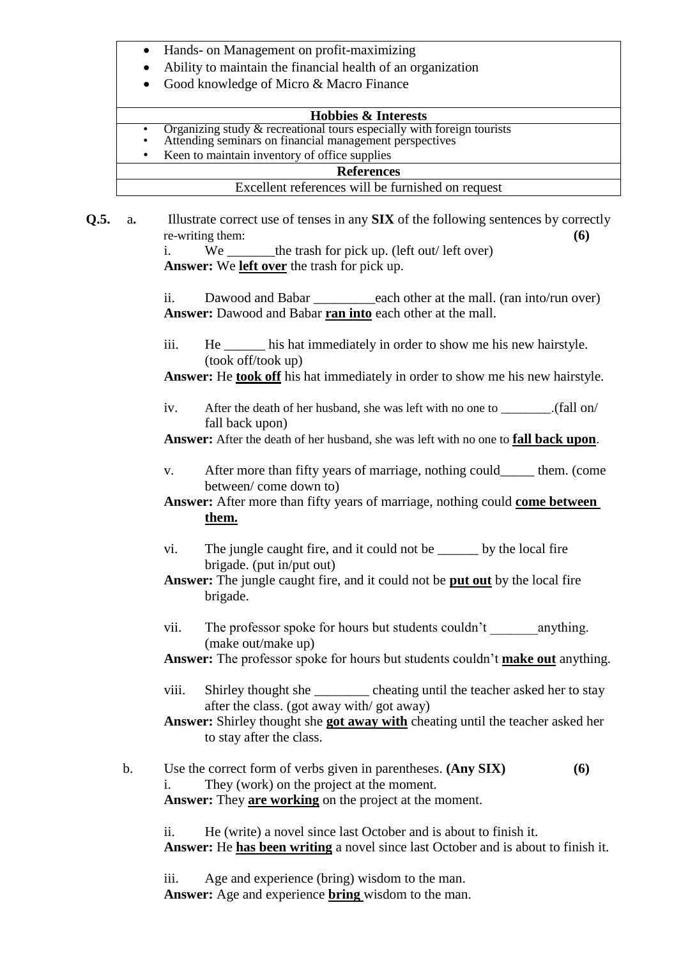- Hands- on Management on profit-maximizing
- Ability to maintain the financial health of an organization
- Good knowledge of Micro & Macro Finance

#### **Hobbies & Interests**

- Organizing study & recreational tours especially with foreign tourists
- Attending seminars on financial management perspectives
- Keen to maintain inventory of office supplies

#### **References**

#### Excellent references will be furnished on request

**Q.5.** a. Illustrate correct use of tenses in any **SIX** of the following sentences by correctly re-writing them: **(6)**

i. We the trash for pick up. (left out/ left over) **Answer:** We **left over** the trash for pick up.

ii. Dawood and Babar \_\_\_\_\_\_\_\_\_\_each other at the mall. (ran into/run over) **Answer:** Dawood and Babar **ran into** each other at the mall.

iii. He his hat immediately in order to show me his new hairstyle. (took off/took up)

**Answer:** He **took off** his hat immediately in order to show me his new hairstyle.

iv. After the death of her husband, she was left with no one to \_\_\_\_\_\_.(fall on/ fall back upon)

**Answer:** After the death of her husband, she was left with no one to **fall back upon**.

- v. After more than fifty years of marriage, nothing could\_\_\_\_\_ them. (come between/ come down to)
- **Answer:** After more than fifty years of marriage, nothing could **come between them.**
- vi. The jungle caught fire, and it could not be \_\_\_\_\_\_ by the local fire brigade. (put in/put out)
- **Answer:** The jungle caught fire, and it could not be **put out** by the local fire brigade.
- vii. The professor spoke for hours but students couldn't anything. (make out/make up)
- **Answer:** The professor spoke for hours but students couldn"t **make out** anything.
- viii. Shirley thought she cheating until the teacher asked her to stay after the class. (got away with/ got away)

**Answer:** Shirley thought she **got away with** cheating until the teacher asked her to stay after the class.

b. Use the correct form of verbs given in parentheses. **(Any SIX) (6)** i. They (work) on the project at the moment. **Answer:** They **are working** on the project at the moment.

ii. He (write) a novel since last October and is about to finish it. **Answer:** He **has been writing** a novel since last October and is about to finish it.

iii. Age and experience (bring) wisdom to the man.

**Answer:** Age and experience **bring** wisdom to the man.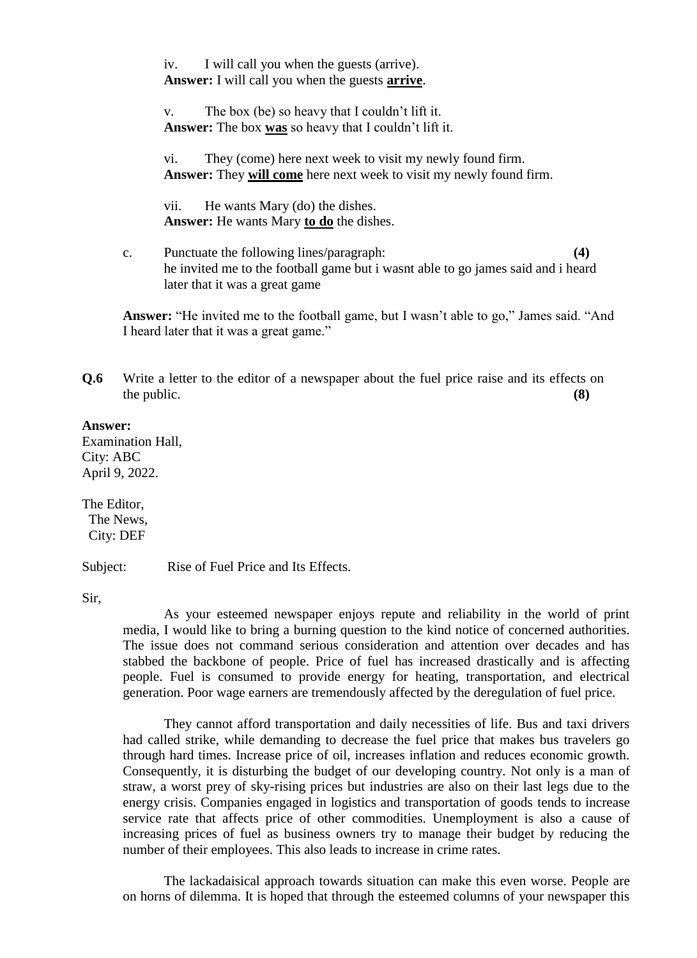iv. I will call you when the guests (arrive). **Answer:** I will call you when the guests **arrive**.

v. The box (be) so heavy that I couldn"t lift it. **Answer:** The box **was** so heavy that I couldn"t lift it.

vi. They (come) here next week to visit my newly found firm. **Answer:** They **will come** here next week to visit my newly found firm.

vii. He wants Mary (do) the dishes. **Answer:** He wants Mary **to do** the dishes.

c. Punctuate the following lines/paragraph: **(4)** he invited me to the football game but i wasnt able to go james said and i heard later that it was a great game

**Answer:** "He invited me to the football game, but I wasn"t able to go," James said. "And I heard later that it was a great game."

**Q.6** Write a letter to the editor of a newspaper about the fuel price raise and its effects on the public. **(8) (8)** 

#### **Answer:**

Examination Hall, City: ABC April 9, 2022.

The Editor, The News, City: DEF

Subject: Rise of Fuel Price and Its Effects.

Sir,

As your esteemed newspaper enjoys repute and reliability in the world of print media, I would like to bring a burning question to the kind notice of concerned authorities. The issue does not command serious consideration and attention over decades and has stabbed the backbone of people. Price of fuel has increased drastically and is affecting people. Fuel is consumed to provide energy for heating, transportation, and electrical generation. Poor wage earners are tremendously affected by the deregulation of fuel price.

They cannot afford transportation and daily necessities of life. Bus and taxi drivers had called strike, while demanding to decrease the fuel price that makes bus travelers go through hard times. Increase price of oil, increases inflation and reduces economic growth. Consequently, it is disturbing the budget of our developing country. Not only is a man of straw, a worst prey of sky-rising prices but industries are also on their last legs due to the energy crisis. Companies engaged in logistics and transportation of goods tends to increase service rate that affects price of other commodities. Unemployment is also a cause of increasing prices of fuel as business owners try to manage their budget by reducing the number of their employees. This also leads to increase in crime rates.

The lackadaisical approach towards situation can make this even worse. People are on horns of dilemma. It is hoped that through the esteemed columns of your newspaper this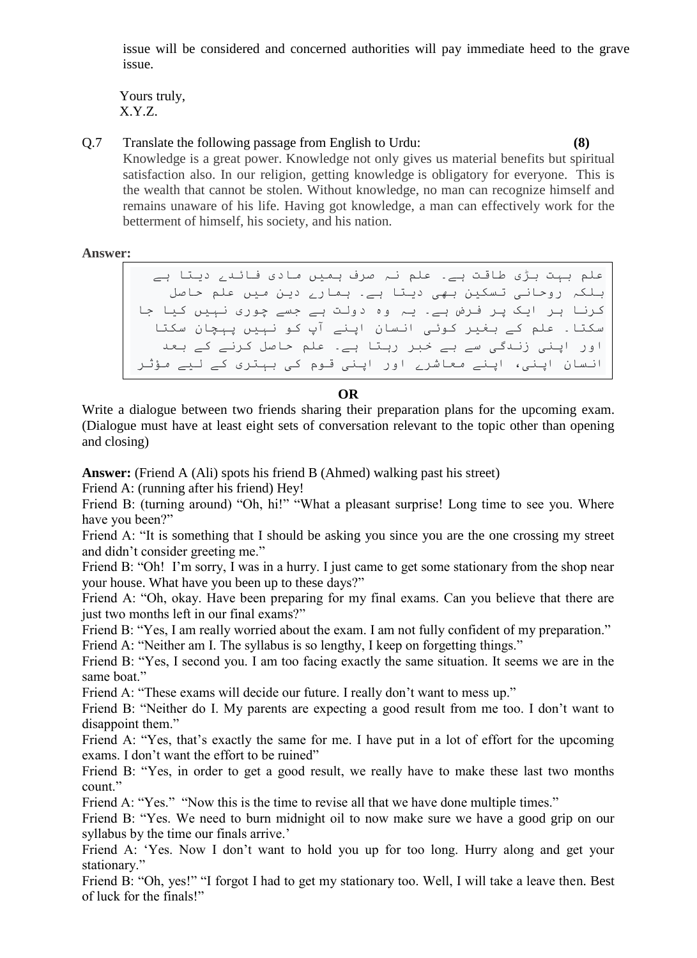issue will be considered and concerned authorities will pay immediate heed to the grave issue.

 Yours truly, X.Y.Z.

Q.7 Translate the following passage from English to Urdu: **(8)** Knowledge is a great power. Knowledge not only gives us material benefits but spiritual satisfaction also. In our religion, getting knowledge is obligatory for everyone. This is the wealth that cannot be stolen. Without knowledge, no man can recognize himself and remains unaware of his life. Having got knowledge, a man can effectively work for the betterment of himself, his society, and his nation.

**Answer:**

علم بہت بڑی طاقت ہے۔ علم نہ صرف ہمیں مادی فائدے دیتا ہے بلکہ روحاًی تسکیي بھی دیتا ہے۔ ہوارے دیي هیں علن حاصل کرًا ہر ایک پر فرض ہے۔ یہ وٍ دولت ہے جسے چوری ًہیں کیا جا سکتا۔ علم کے بغیر کوئی انسان اپنے آپ کو نہیں پہچان سکتا اور اپنی زندگی سے بے خبر رہتا ہے۔ علم حاصل کرنے کے بعد انسان اپنی، اپنے معاشرے اور اپنی قوم کی بہتری کے لیے مؤثر

طریقے سے کام کر سکتا ہے

### **OR**

Write a dialogue between two friends sharing their preparation plans for the upcoming exam. (Dialogue must have at least eight sets of conversation relevant to the topic other than opening and closing)

**Answer:** (Friend A (Ali) spots his friend B (Ahmed) walking past his street)

Friend A: (running after his friend) Hey!

Friend B: (turning around) "Oh, hi!" "What a pleasant surprise! Long time to see you. Where have you been?"

Friend A: "It is something that I should be asking you since you are the one crossing my street and didn"t consider greeting me."

Friend B: "Oh! I'm sorry, I was in a hurry. I just came to get some stationary from the shop near your house. What have you been up to these days?"

Friend A: "Oh, okay. Have been preparing for my final exams. Can you believe that there are just two months left in our final exams?"

Friend B: "Yes, I am really worried about the exam. I am not fully confident of my preparation."

Friend A: "Neither am I. The syllabus is so lengthy, I keep on forgetting things."

Friend B: "Yes, I second you. I am too facing exactly the same situation. It seems we are in the same boat."

Friend A: "These exams will decide our future. I really don't want to mess up."

Friend B: "Neither do I. My parents are expecting a good result from me too. I don"t want to disappoint them."

Friend A: "Yes, that's exactly the same for me. I have put in a lot of effort for the upcoming exams. I don't want the effort to be ruined"

Friend B: "Yes, in order to get a good result, we really have to make these last two months count."

Friend A: "Yes." "Now this is the time to revise all that we have done multiple times."

Friend B: "Yes. We need to burn midnight oil to now make sure we have a good grip on our syllabus by the time our finals arrive.'

Friend A: 'Yes. Now I don't want to hold you up for too long. Hurry along and get your stationary."

Friend B: "Oh, yes!" "I forgot I had to get my stationary too. Well, I will take a leave then. Best of luck for the finals!"